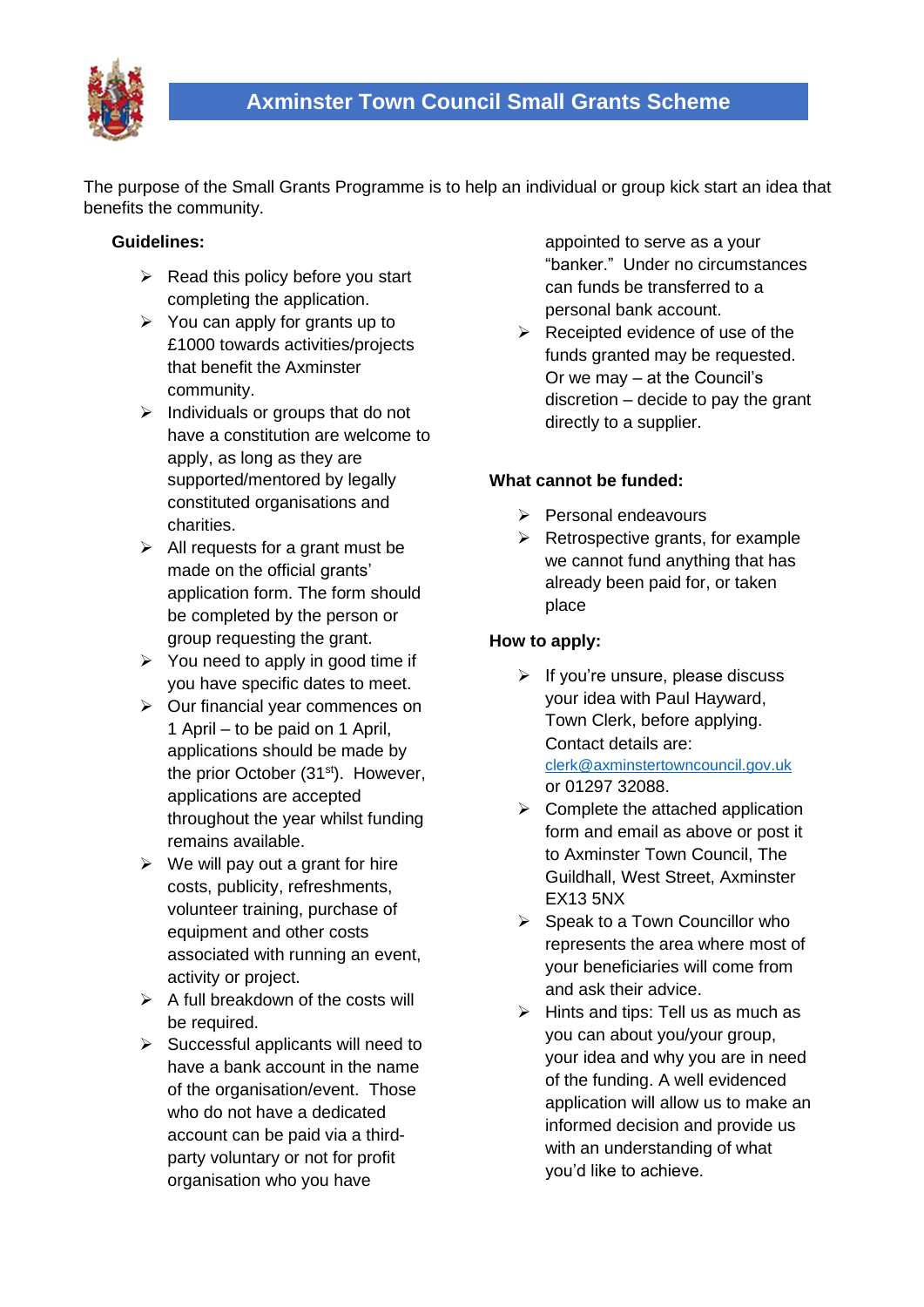

The purpose of the Small Grants Programme is to help an individual or group kick start an idea that benefits the community.

## **Guidelines:**

- $\triangleright$  Read this policy before you start completing the application.
- $\triangleright$  You can apply for grants up to £1000 towards activities/projects that benefit the Axminster community.
- $\triangleright$  Individuals or groups that do not have a constitution are welcome to apply, as long as they are supported/mentored by legally constituted organisations and charities.
- $\triangleright$  All requests for a grant must be made on the official grants' application form. The form should be completed by the person or group requesting the grant.
- $\triangleright$  You need to apply in good time if you have specific dates to meet.
- ➢ Our financial year commences on 1 April – to be paid on 1 April, applications should be made by the prior October (31<sup>st</sup>). However, applications are accepted throughout the year whilst funding remains available.
- $\triangleright$  We will pay out a grant for hire costs, publicity, refreshments, volunteer training, purchase of equipment and other costs associated with running an event, activity or project.
- $\triangleright$  A full breakdown of the costs will be required.
- ➢ Successful applicants will need to have a bank account in the name of the organisation/event. Those who do not have a dedicated account can be paid via a thirdparty voluntary or not for profit organisation who you have

appointed to serve as a your "banker." Under no circumstances can funds be transferred to a personal bank account.

 $\triangleright$  Receipted evidence of use of the funds granted may be requested. Or we may – at the Council's discretion – decide to pay the grant directly to a supplier.

# **What cannot be funded:**

- ➢ Personal endeavours
- $\triangleright$  Retrospective grants, for example we cannot fund anything that has already been paid for, or taken place

# **How to apply:**

- $\triangleright$  If you're unsure, please discuss your idea with Paul Hayward, Town Clerk, before applying. Contact details are: [clerk@axminstertowncouncil.gov.uk](mailto:clerk@axminstertowncouncil.gov.uk)  or 01297 32088.
- $\triangleright$  Complete the attached application form and email as above or post it to Axminster Town Council, The Guildhall, West Street, Axminster EX13 5NX
- $\triangleright$  Speak to a Town Councillor who represents the area where most of your beneficiaries will come from and ask their advice.
- $\triangleright$  Hints and tips: Tell us as much as you can about you/your group, your idea and why you are in need of the funding. A well evidenced application will allow us to make an informed decision and provide us with an understanding of what you'd like to achieve.